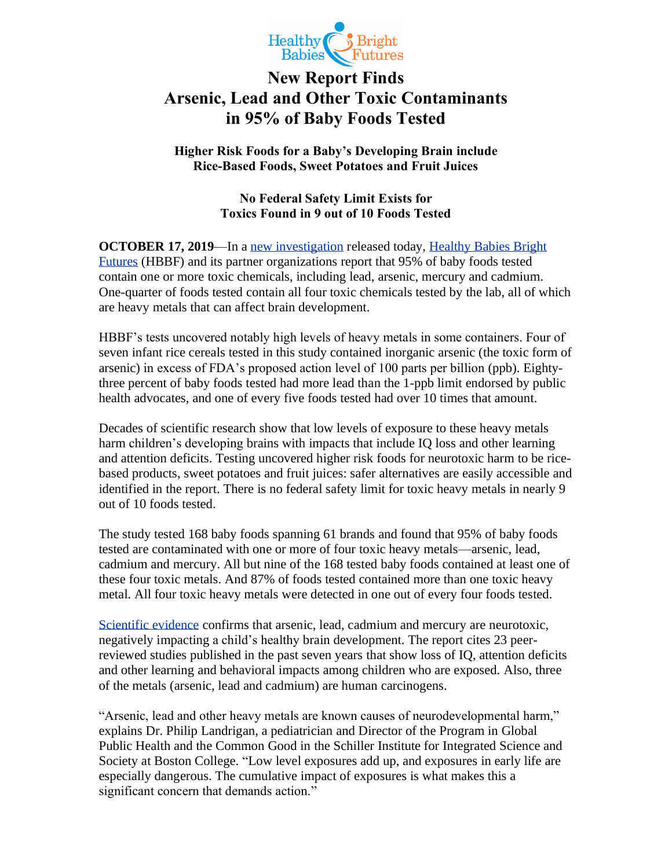

## **New Report Finds Arsenic, Lead and Other Toxic Contaminants in 95% of Baby Foods Tested**

**Higher Risk Foods for a Baby's Developing Brain include Rice-Based Foods, Sweet Potatoes and Fruit Juices**

## **No Federal Safety Limit Exists for Toxics Found in 9 out of 10 Foods Tested**

**OCTOBER 17, 2019**—In a [new investigation](http://www.healthybabyfood.org/) released today, [Healthy Babies Bright](http://www.hbbf.org/)  [Futures](http://www.hbbf.org/) (HBBF) and its partner organizations report that 95% of baby foods tested contain one or more toxic chemicals, including lead, arsenic, mercury and cadmium. One-quarter of foods tested contain all four toxic chemicals tested by the lab, all of which are heavy metals that can affect brain development.

HBBF's tests uncovered notably high levels of heavy metals in some containers. Four of seven infant rice cereals tested in this study contained inorganic arsenic (the toxic form of arsenic) in excess of FDA's proposed action level of 100 parts per billion (ppb). Eightythree percent of baby foods tested had more lead than the 1-ppb limit endorsed by public health advocates, and one of every five foods tested had over 10 times that amount.

Decades of scientific research show that low levels of exposure to these heavy metals harm children's developing brains with impacts that include IQ loss and other learning and attention deficits. Testing uncovered higher risk foods for neurotoxic harm to be ricebased products, sweet potatoes and fruit juices: safer alternatives are easily accessible and identified in the report. There is no federal safety limit for toxic heavy metals in nearly 9 out of 10 foods tested.

The study tested 168 baby foods spanning 61 brands and found that 95% of baby foods tested are contaminated with one or more of four toxic heavy metals—arsenic, lead, cadmium and mercury. All but nine of the 168 tested baby foods contained at least one of these four toxic metals. And 87% of foods tested contained more than one toxic heavy metal. All four toxic heavy metals were detected in one out of every four foods tested.

[Scientific evidence](http://projecttendr.com/consensus-statement/) confirms that arsenic, lead, cadmium and mercury are neurotoxic, negatively impacting a child's healthy brain development. The report cites 23 peerreviewed studies published in the past seven years that show loss of IQ, attention deficits and other learning and behavioral impacts among children who are exposed. Also, three of the metals (arsenic, lead and cadmium) are human carcinogens.

"Arsenic, lead and other heavy metals are known causes of neurodevelopmental harm," explains Dr. Philip Landrigan, a pediatrician and Director of the Program in Global Public Health and the Common Good in the Schiller Institute for Integrated Science and Society at Boston College. "Low level exposures add up, and exposures in early life are especially dangerous. The cumulative impact of exposures is what makes this a significant concern that demands action."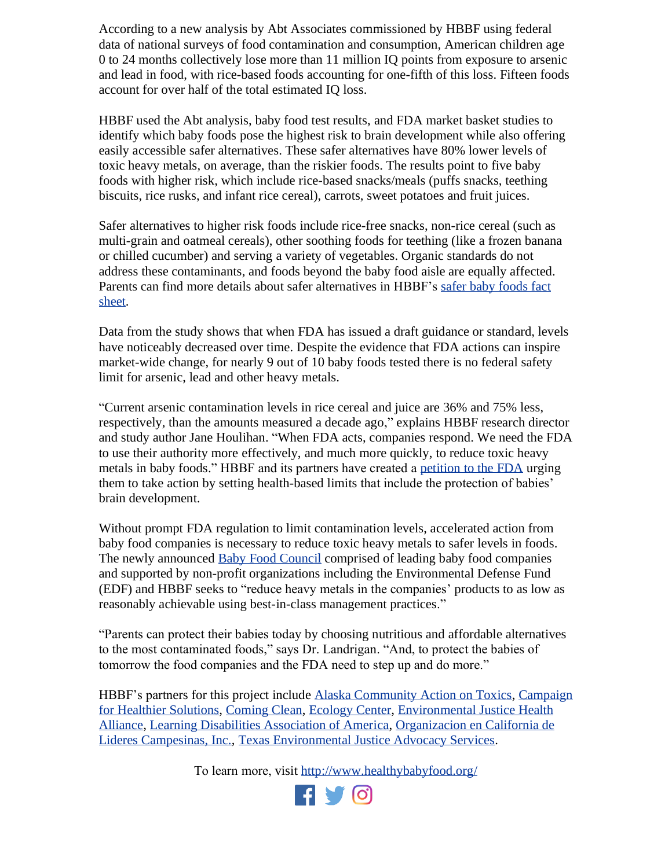According to a new analysis by Abt Associates commissioned by HBBF using federal data of national surveys of food contamination and consumption, American children age 0 to 24 months collectively lose more than 11 million IQ points from exposure to arsenic and lead in food, with rice-based foods accounting for one-fifth of this loss. Fifteen foods account for over half of the total estimated IQ loss.

HBBF used the Abt analysis, baby food test results, and FDA market basket studies to identify which baby foods pose the highest risk to brain development while also offering easily accessible safer alternatives. These safer alternatives have 80% lower levels of toxic heavy metals, on average, than the riskier foods. The results point to five baby foods with higher risk, which include rice-based snacks/meals (puffs snacks, teething biscuits, rice rusks, and infant rice cereal), carrots, sweet potatoes and fruit juices.

Safer alternatives to higher risk foods include rice-free snacks, non-rice cereal (such as multi-grain and oatmeal cereals), other soothing foods for teething (like a frozen banana or chilled cucumber) and serving a variety of vegetables. Organic standards do not address these contaminants, and foods beyond the baby food aisle are equally affected. Parents can find more details about safer alternatives in HBBF's [safer baby foods fact](http://www.healthybabyfood.org/)  [sheet.](http://www.healthybabyfood.org/)

Data from the study shows that when FDA has issued a draft guidance or standard, levels have noticeably decreased over time. Despite the evidence that FDA actions can inspire market-wide change, for nearly 9 out of 10 baby foods tested there is no federal safety limit for arsenic, lead and other heavy metals.

"Current arsenic contamination levels in rice cereal and juice are 36% and 75% less, respectively, than the amounts measured a decade ago," explains HBBF research director and study author Jane Houlihan. "When FDA acts, companies respond. We need the FDA to use their authority more effectively, and much more quickly, to reduce toxic heavy metals in baby foods." HBBF and its partners have created a [petition to the FDA](http://go.hbbf.org/FDA-petition) urging them to take action by setting health-based limits that include the protection of babies' brain development.

Without prompt FDA regulation to limit contamination levels, accelerated action from baby food companies is necessary to reduce toxic heavy metals to safer levels in foods. The newly announced [Baby Food Council](http://www.babyfoodcouncil.org/) comprised of leading baby food companies and supported by non-profit organizations including the Environmental Defense Fund (EDF) and HBBF seeks to "reduce heavy metals in the companies' products to as low as reasonably achievable using best-in-class management practices."

"Parents can protect their babies today by choosing nutritious and affordable alternatives to the most contaminated foods," says Dr. Landrigan. "And, to protect the babies of tomorrow the food companies and the FDA need to step up and do more."

HBBF's partners for this project include [Alaska Community Action on Toxics,](https://www.akaction.org/) [Campaign](ttps://ej4all.org/campaigns-and-activities/campaign-for-healthier-solutions/)  [for Healthier Solutions,](ttps://ej4all.org/campaigns-and-activities/campaign-for-healthier-solutions/) [Coming Clean,](https://comingcleaninc.org/) [Ecology Center,](https://www.ecocenter.org/) [Environmental Justice Health](https://ej4all.org/)  [Alliance,](https://ej4all.org/) [Learning Disabilities Association of America,](https://ldaamerica.org/) [Organizacion en California de](http://www.liderescampesinas.org/)  [Lideres Campesinas, Inc.,](http://www.liderescampesinas.org/) [Texas Environmental Justice Advocacy Services.](http://tejasbarrios.org/)

To learn more, visit<http://www.healthybabyfood.org/>